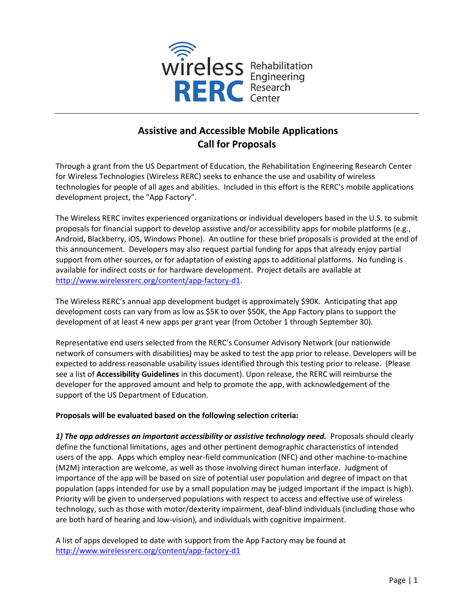

# **Assistive and Accessible Mobile Applications Call for Proposals**

Through a grant from the US Department of Education, the Rehabilitation Engineering Research Center for Wireless Technologies (Wireless RERC) seeks to enhance the use and usability of wireless technologies for people of all ages and abilities. Included in this effort is the RERC's mobile applications development project, the "App Factory".

The Wireless RERC invites experienced organizations or individual developers based in the U.S. to submit proposals for financial support to develop assistive and/or accessibility apps for mobile platforms (e.g., Android, Blackberry, iOS, Windows Phone). An outline for these brief proposals is provided at the end of this announcement. Developers may also request partial funding for apps that already enjoy partial support from other sources, or for adaptation of existing apps to additional platforms. No funding is available for indirect costs or for hardware development. Project details are available at http://www.wirelessrerc.org/content/app-factory-d1.

The Wireless RERC's annual app development budget is approximately \$90K. Anticipating that app development costs can vary from as low as \$5K to over \$50K, the App Factory plans to support the development of at least 4 new apps per grant year (from October 1 through September 30).

Representative end users selected from the RERC's Consumer Advisory Network (our nationwide network of consumers with disabilities) may be asked to test the app prior to release. Developers will be expected to address reasonable usability issues identified through this testing prior to release. (Please see a list of **Accessibility Guidelines** in this document). Upon release, the RERC will reimburse the developer for the approved amount and help to promote the app, with acknowledgement of the support of the US Department of Education.

#### **Proposals will be evaluated based on the following selection criteria:**

*1) The app addresses an important accessibility or assistive technology need.* Proposals should clearly define the functional limitations, ages and other pertinent demographic characteristics of intended users of the app. Apps which employ near-field communication (NFC) and other machine-to-machine (M2M) interaction are welcome, as well as those involving direct human interface. Judgment of importance of the app will be based on size of potential user population and degree of impact on that population (apps intended for use by a small population may be judged important if the impact is high). Priority will be given to underserved populations with respect to access and effective use of wireless technology, such as those with motor/dexterity impairment, deaf-blind individuals (including those who are both hard of hearing and low-vision), and individuals with cognitive impairment.

A list of apps developed to date with support from the App Factory may be found at http://www.wirelessrerc.org/content/app-factory-d1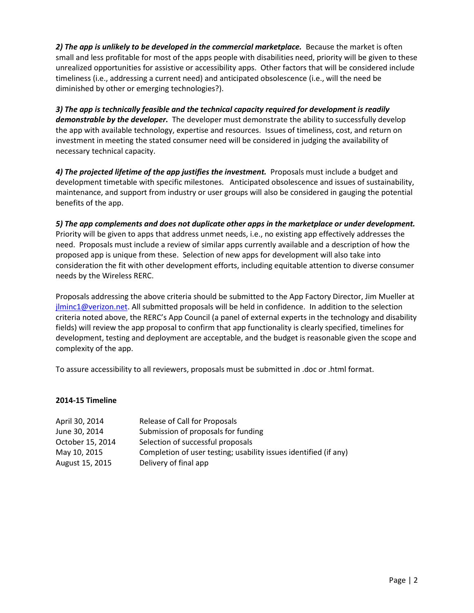*2) The app is unlikely to be developed in the commercial marketplace.* Because the market is often small and less profitable for most of the apps people with disabilities need, priority will be given to these unrealized opportunities for assistive or accessibility apps. Other factors that will be considered include timeliness (i.e., addressing a current need) and anticipated obsolescence (i.e., will the need be diminished by other or emerging technologies?).

*3) The app is technically feasible and the technical capacity required for development is readily demonstrable by the developer.* The developer must demonstrate the ability to successfully develop the app with available technology, expertise and resources. Issues of timeliness, cost, and return on investment in meeting the stated consumer need will be considered in judging the availability of necessary technical capacity.

*4) The projected lifetime of the app justifies the investment.* Proposals must include a budget and development timetable with specific milestones. Anticipated obsolescence and issues of sustainability, maintenance, and support from industry or user groups will also be considered in gauging the potential benefits of the app.

*5) The app complements and does not duplicate other apps in the marketplace or under development.*  Priority will be given to apps that address unmet needs, i.e., no existing app effectively addresses the need. Proposals must include a review of similar apps currently available and a description of how the proposed app is unique from these. Selection of new apps for development will also take into consideration the fit with other development efforts, including equitable attention to diverse consumer needs by the Wireless RERC.

Proposals addressing the above criteria should be submitted to the App Factory Director, Jim Mueller at jlminc1@verizon.net. All submitted proposals will be held in confidence. In addition to the selection criteria noted above, the RERC's App Council (a panel of external experts in the technology and disability fields) will review the app proposal to confirm that app functionality is clearly specified, timelines for development, testing and deployment are acceptable, and the budget is reasonable given the scope and complexity of the app.

To assure accessibility to all reviewers, proposals must be submitted in .doc or .html format.

#### **2014-15 Timeline**

| Release of Call for Proposals<br>April 30, 2014                                  |  |
|----------------------------------------------------------------------------------|--|
| Submission of proposals for funding<br>June 30, 2014                             |  |
| October 15, 2014<br>Selection of successful proposals                            |  |
| Completion of user testing; usability issues identified (if any)<br>May 10, 2015 |  |
| Delivery of final app<br>August 15, 2015                                         |  |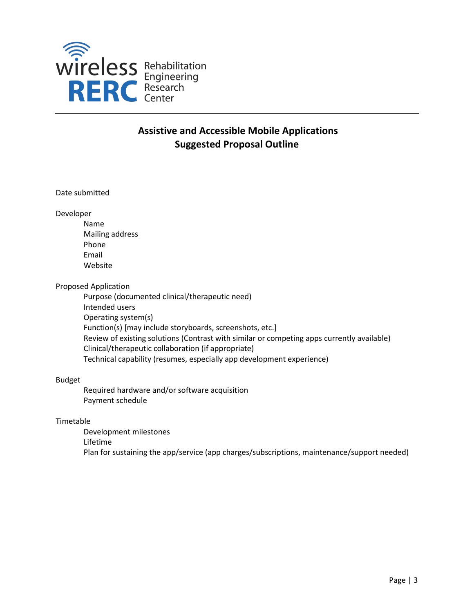

## **Assistive and Accessible Mobile Applications Suggested Proposal Outline**

Date submitted

Developer

Name Mailing address Phone Email Website

Proposed Application

Purpose (documented clinical/therapeutic need) Intended users Operating system(s) Function(s) [may include storyboards, screenshots, etc.] Review of existing solutions (Contrast with similar or competing apps currently available) Clinical/therapeutic collaboration (if appropriate) Technical capability (resumes, especially app development experience)

#### Budget

Required hardware and/or software acquisition Payment schedule

#### Timetable

Development milestones Lifetime Plan for sustaining the app/service (app charges/subscriptions, maintenance/support needed)